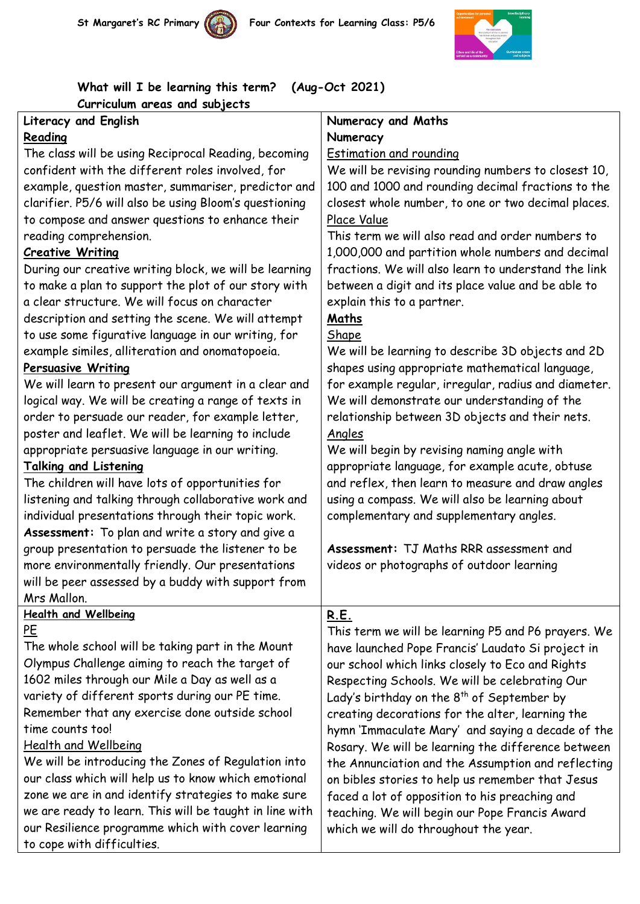





**What will I be learning this term? (Aug-Oct 2021) Curriculum areas and subjects**

## **Literacy and English Reading**

The class will be using Reciprocal Reading, becoming confident with the different roles involved, for example, question master, summariser, predictor and clarifier. P5/6 will also be using Bloom's questioning to compose and answer questions to enhance their reading comprehension.

## **Creative Writing**

During our creative writing block, we will be learning to make a plan to support the plot of our story with a clear structure. We will focus on character description and setting the scene. We will attempt to use some figurative language in our writing, for example similes, alliteration and onomatopoeia.

## **Persuasive Writing**

We will learn to present our argument in a clear and logical way. We will be creating a range of texts in order to persuade our reader, for example letter, poster and leaflet. We will be learning to include appropriate persuasive language in our writing.

## **Talking and Listening**

The children will have lots of opportunities for listening and talking through collaborative work and individual presentations through their topic work. **Assessment:** To plan and write a story and give a group presentation to persuade the listener to be more environmentally friendly. Our presentations will be peer assessed by a buddy with support from Mrs Mallon.

## **Health and Wellbeing** PE

The whole school will be taking part in the Mount Olympus Challenge aiming to reach the target of 1602 miles through our Mile a Day as well as a variety of different sports during our PE time. Remember that any exercise done outside school time counts too!

## Health and Wellbeing

We will be introducing the Zones of Regulation into our class which will help us to know which emotional zone we are in and identify strategies to make sure we are ready to learn. This will be taught in line with our Resilience programme which with cover learning to cope with difficulties.

## **Numeracy and Maths Numeracy**

Estimation and rounding

We will be revising rounding numbers to closest 10, 100 and 1000 and rounding decimal fractions to the closest whole number, to one or two decimal places. Place Value

This term we will also read and order numbers to 1,000,000 and partition whole numbers and decimal fractions. We will also learn to understand the link between a digit and its place value and be able to explain this to a partner.

# **Maths**

## Shape

We will be learning to describe 3D objects and 2D shapes using appropriate mathematical language, for example regular, irregular, radius and diameter. We will demonstrate our understanding of the relationship between 3D objects and their nets. Angles

We will begin by revising naming angle with appropriate language, for example acute, obtuse and reflex, then learn to measure and draw angles using a compass. We will also be learning about complementary and supplementary angles.

**Assessment:** TJ Maths RRR assessment and videos or photographs of outdoor learning

## **R.E.**

This term we will be learning P5 and P6 prayers. We have launched Pope Francis' Laudato Si project in our school which links closely to Eco and Rights Respecting Schools. We will be celebrating Our Lady's birthday on the  $8<sup>th</sup>$  of September by creating decorations for the alter, learning the hymn 'Immaculate Mary' and saying a decade of the Rosary. We will be learning the difference between the Annunciation and the Assumption and reflecting on bibles stories to help us remember that Jesus faced a lot of opposition to his preaching and teaching. We will begin our Pope Francis Award which we will do throughout the year.